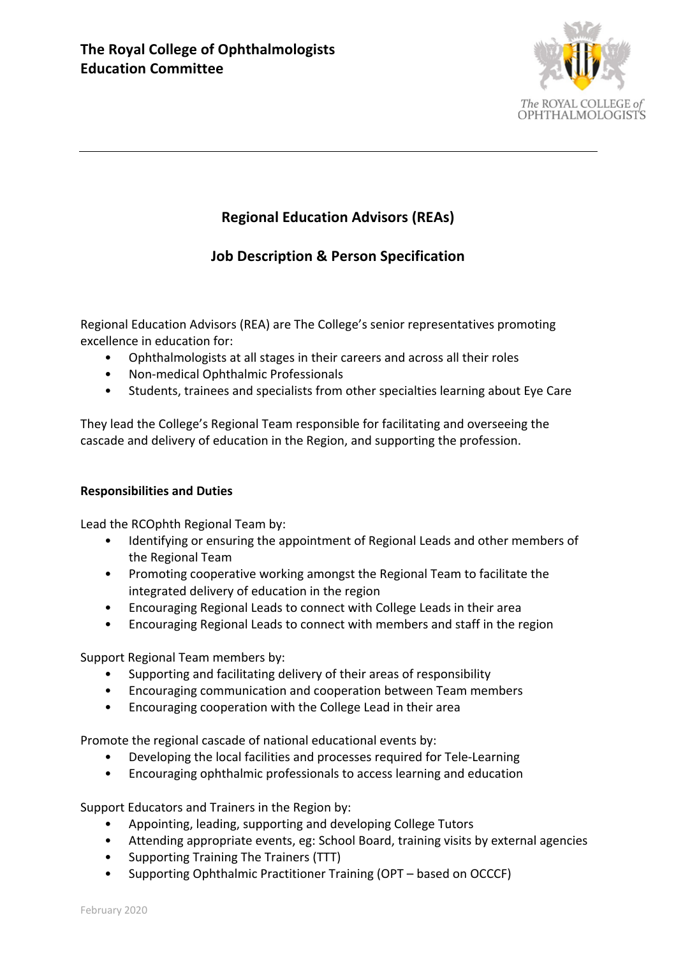

# **Regional Education Advisors (REAs)**

## **Job Description & Person Specification**

Regional Education Advisors (REA) are The College's senior representatives promoting excellence in education for:

- Ophthalmologists at all stages in their careers and across all their roles
- Non-medical Ophthalmic Professionals
- Students, trainees and specialists from other specialties learning about Eye Care

They lead the College's Regional Team responsible for facilitating and overseeing the cascade and delivery of education in the Region, and supporting the profession.

#### **Responsibilities and Duties**

Lead the RCOphth Regional Team by:

- Identifying or ensuring the appointment of Regional Leads and other members of the Regional Team
- Promoting cooperative working amongst the Regional Team to facilitate the integrated delivery of education in the region
- Encouraging Regional Leads to connect with College Leads in their area
- Encouraging Regional Leads to connect with members and staff in the region

Support Regional Team members by:

- Supporting and facilitating delivery of their areas of responsibility
- Encouraging communication and cooperation between Team members
- Encouraging cooperation with the College Lead in their area

Promote the regional cascade of national educational events by:

- Developing the local facilities and processes required for Tele-Learning
- Encouraging ophthalmic professionals to access learning and education

Support Educators and Trainers in the Region by:

- Appointing, leading, supporting and developing College Tutors
- Attending appropriate events, eg: School Board, training visits by external agencies
- Supporting Training The Trainers (TTT)
- Supporting Ophthalmic Practitioner Training (OPT based on OCCCF)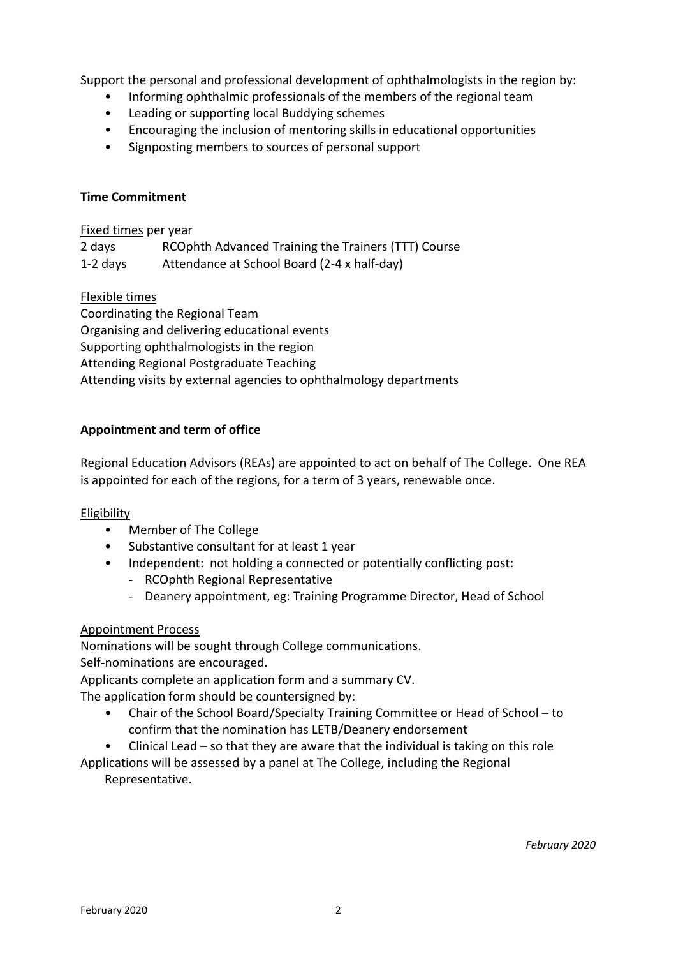Support the personal and professional development of ophthalmologists in the region by:

- Informing ophthalmic professionals of the members of the regional team
- Leading or supporting local Buddying schemes
- Encouraging the inclusion of mentoring skills in educational opportunities
- Signposting members to sources of personal support

## **Time Commitment**

### Fixed times per year

| 2 days     | RCOphth Advanced Training the Trainers (TTT) Course |
|------------|-----------------------------------------------------|
| $1-2$ days | Attendance at School Board (2-4 x half-day)         |

## Flexible times

Coordinating the Regional Team Organising and delivering educational events Supporting ophthalmologists in the region Attending Regional Postgraduate Teaching Attending visits by external agencies to ophthalmology departments

## **Appointment and term of office**

Regional Education Advisors (REAs) are appointed to act on behalf of The College. One REA is appointed for each of the regions, for a term of 3 years, renewable once.

#### Eligibility

- Member of The College
- Substantive consultant for at least 1 year
- Independent: not holding a connected or potentially conflicting post:
	- RCOphth Regional Representative
	- Deanery appointment, eg: Training Programme Director, Head of School

#### Appointment Process

Nominations will be sought through College communications. Self-nominations are encouraged.

Applicants complete an application form and a summary CV. The application form should be countersigned by:

- Chair of the School Board/Specialty Training Committee or Head of School to confirm that the nomination has LETB/Deanery endorsement
- Clinical Lead  $-$  so that they are aware that the individual is taking on this role

Applications will be assessed by a panel at The College, including the Regional

Representative.